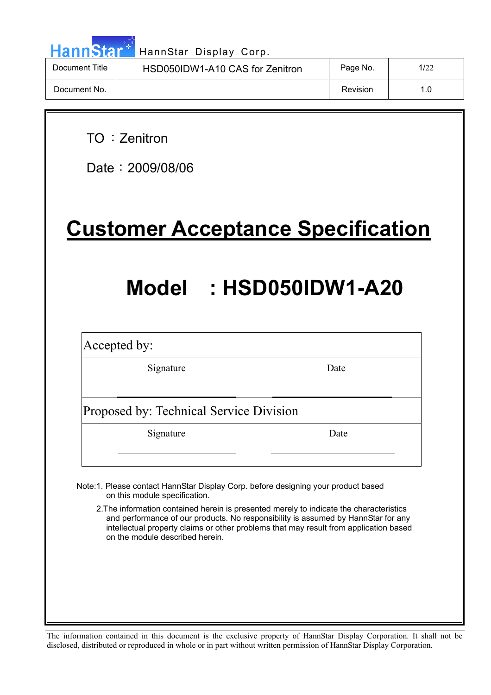| ann | with |  |
|-----|------|--|

 $\overline{\phantom{a}}$ 

HannStar Display Corp.

| Document Title | HSD050IDW1-A10 CAS for Zenitron | Page No. | 1/22 |
|----------------|---------------------------------|----------|------|
| Document No.   |                                 | Revision |      |

TO: Zenitron

Date: 2009/08/06

**Customer Acceptance Specification**

# **Model : HSD050IDW1-A20**

Accepted by:

Signature Date

Proposed by: Technical Service Division

Signature Date

Note:1. Please contact HannStar Display Corp. before designing your product based on this module specification.

2.The information contained herein is presented merely to indicate the characteristics and performance of our products. No responsibility is assumed by HannStar for any intellectual property claims or other problems that may result from application based on the module described herein.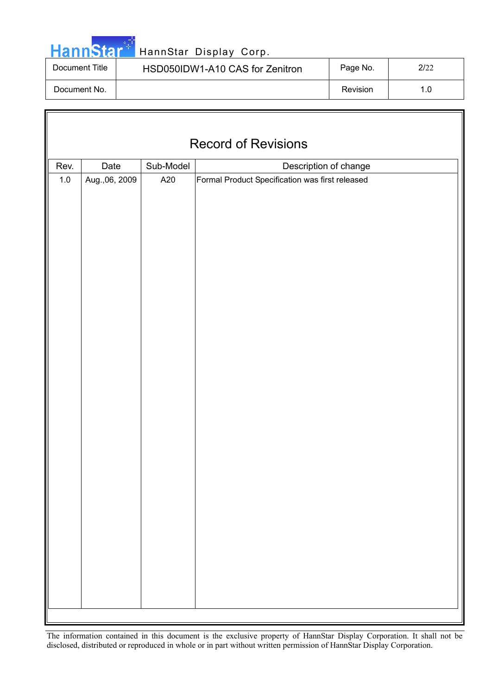|  | <b>HannStar</b> |  |
|--|-----------------|--|
|  |                 |  |

 $\sqrt{2}$ 

### HannStar Display Corp.

| Document Title | HSD050IDW1-A10 CAS for Zenitron | Page No. | 2/22 |
|----------------|---------------------------------|----------|------|
| Document No.   |                                 | Revision | 1.0  |

| <b>Record of Revisions</b> |                |           |                                                 |  |  |
|----------------------------|----------------|-----------|-------------------------------------------------|--|--|
| Rev.                       | Date           | Sub-Model | Description of change                           |  |  |
| $1.0\,$                    | Aug., 06, 2009 | A20       | Formal Product Specification was first released |  |  |
|                            |                |           |                                                 |  |  |
|                            |                |           |                                                 |  |  |
|                            |                |           |                                                 |  |  |
|                            |                |           |                                                 |  |  |
|                            |                |           |                                                 |  |  |
|                            |                |           |                                                 |  |  |
|                            |                |           |                                                 |  |  |
|                            |                |           |                                                 |  |  |
|                            |                |           |                                                 |  |  |
|                            |                |           |                                                 |  |  |
|                            |                |           |                                                 |  |  |
|                            |                |           |                                                 |  |  |
|                            |                |           |                                                 |  |  |
|                            |                |           |                                                 |  |  |
|                            |                |           |                                                 |  |  |
|                            |                |           |                                                 |  |  |
|                            |                |           |                                                 |  |  |
|                            |                |           |                                                 |  |  |
|                            |                |           |                                                 |  |  |
|                            |                |           |                                                 |  |  |
|                            |                |           |                                                 |  |  |
|                            |                |           |                                                 |  |  |
|                            |                |           |                                                 |  |  |
|                            |                |           |                                                 |  |  |
|                            |                |           |                                                 |  |  |
|                            |                |           |                                                 |  |  |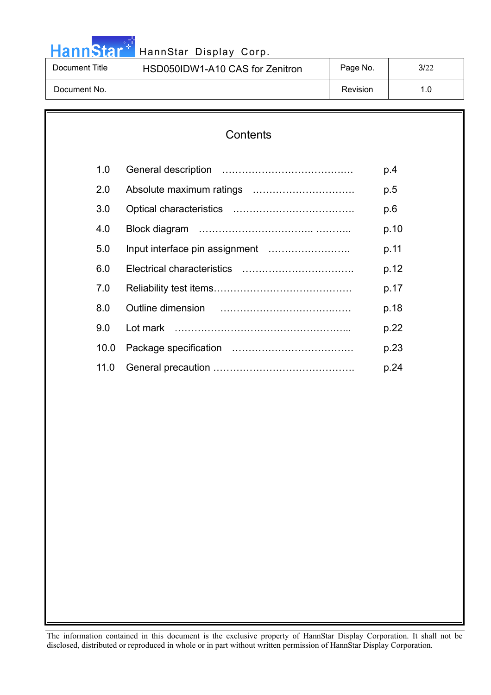# HannStar<sup>4</sup> HannStar Display Corp.

| Document Title | HSD050IDW1-A10 CAS for Zenitron | Page No. | 3/22 |
|----------------|---------------------------------|----------|------|
| Document No.   |                                 | Revision |      |

# **Contents**  1.0 General description ……………………………….… p.4 2.0 Absolute maximum ratings …………………………. p.5 3.0 Optical characteristics ………………………………. p.6 4.0 Block diagram …………………………….. ……….. p.10 5.0 Input interface pin assignment ……………………. p.11 6.0 Electrical characteristics ……………………………. p.12 7.0 Reliability test items…………………………………… p.17 8.0 Outline dimension …………………………….…… p.18 9.0 Lot mark ……………………………………………... p.22 10.0 Package specification ………………………………. p.23 11.0 General precaution ……………………………………. p.24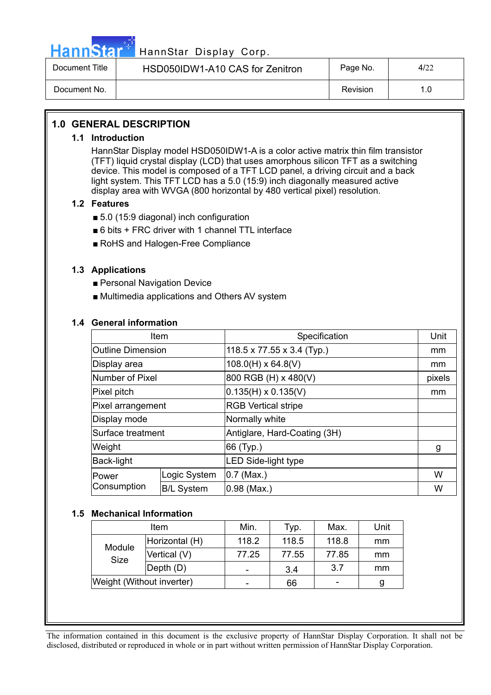

# HannStar<sup>#T</sup> HannStar Display Corp.

| Document Title | HSD050IDW1-A10 CAS for Zenitron | Page No. | 4/22 |
|----------------|---------------------------------|----------|------|
| Document No.   |                                 | Revision |      |

### **1.0 GENERAL DESCRIPTION**

### **1.1 Introduction**

HannStar Display model HSD050IDW1-A is a color active matrix thin film transistor (TFT) liquid crystal display (LCD) that uses amorphous silicon TFT as a switching device. This model is composed of a TFT LCD panel, a driving circuit and a back light system. This TFT LCD has a 5.0 (15:9) inch diagonally measured active display area with WVGA (800 horizontal by 480 vertical pixel) resolution.

### **1.2 Features**

- $\blacksquare$  5.0 (15:9 diagonal) inch configuration
- $\blacksquare$  6 bits + FRC driver with 1 channel TTL interface
- RoHS and Halogen-Free Compliance

### **1.3 Applications**

- **Personal Navigation Device**
- Multimedia applications and Others AV system

### **1.4 General information**

| Item                     |                   | Specification                | Unit   |
|--------------------------|-------------------|------------------------------|--------|
| <b>Outline Dimension</b> |                   | 118.5 x 77.55 x 3.4 (Typ.)   | mm     |
| Display area             |                   | $108.0(H) \times 64.8(V)$    | mm     |
| Number of Pixel          |                   | 800 RGB (H) x 480(V)         | pixels |
| Pixel pitch              |                   | $0.135(H) \times 0.135(V)$   | mm     |
| Pixel arrangement        |                   | <b>RGB Vertical stripe</b>   |        |
| Display mode             |                   | Normally white               |        |
| Surface treatment        |                   | Antiglare, Hard-Coating (3H) |        |
| Weight                   |                   | 66 (Typ.)                    | g      |
| Back-light               |                   | <b>LED Side-light type</b>   |        |
| Power                    | Logic System      | $0.7$ (Max.)                 | W      |
| Consumption              | <b>B/L System</b> | $0.98$ (Max.)                | W      |

### **1.5 Mechanical Information**

|                | Item                      | Min.                     | Typ.  | Max.  | Unit |
|----------------|---------------------------|--------------------------|-------|-------|------|
| Module<br>Size | Horizontal (H)            | 118.2                    | 118.5 | 118.8 | mm   |
|                | Vertical (V)              | 77.25                    | 77.55 | 77.85 | mm   |
|                | $\vert$ Depth $(D)$       | $\overline{\phantom{0}}$ | 3.4   | 3.7   | mm   |
|                | Weight (Without inverter) | $\overline{\phantom{0}}$ | 66    |       | g    |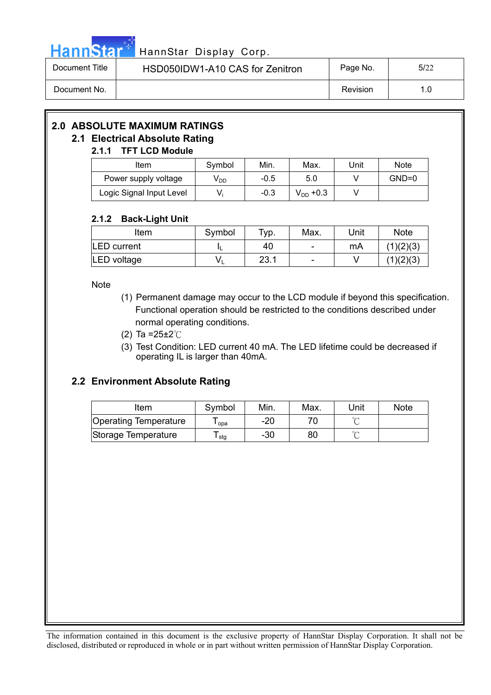

# HannStar<sup>47</sup> HannStar Display Corp.

| Document Title | HSD050IDW1-A10 CAS for Zenitron | Page No. | 5/22 |
|----------------|---------------------------------|----------|------|
| Document No.   |                                 | Revision | 1.0  |

# **2.0 ABSOLUTE MAXIMUM RATINGS**

### **2.1 Electrical Absolute Rating**

### **2.1.1 TFT LCD Module**

| <b>Item</b>              | Symbol          | Min.   | Max.          | Unit | <b>Note</b> |
|--------------------------|-----------------|--------|---------------|------|-------------|
| Power supply voltage     | V <sub>DD</sub> | $-0.5$ | 5.0           |      | GND=0       |
| Logic Signal Input Level | V.              | -0.3   | $V_{DD}$ +0.3 |      |             |

### **2.1.2 Back-Light Unit**

| Item               | Symbol | $\tau_{\mathsf{VP}}$ . | Max.                     | Unit | <b>Note</b> |
|--------------------|--------|------------------------|--------------------------|------|-------------|
| <b>LED</b> current |        | 40                     | ۰                        | mA   | (1)(2)(3)   |
| LED voltage        |        | 23.1                   | $\overline{\phantom{0}}$ |      | (1)(2)(3)   |

**Note** 

- (1) Permanent damage may occur to the LCD module if beyond this specification. Functional operation should be restricted to the conditions described under normal operating conditions.
- (2) Ta =  $25 \pm 2^{\circ}$ C
- (3) Test Condition: LED current 40 mA. The LED lifetime could be decreased if operating IL is larger than 40mA.

### **2.2 Environment Absolute Rating**

| ltem                         | Symbol | Min.  | Max. | Unit   | <b>Note</b> |
|------------------------------|--------|-------|------|--------|-------------|
| <b>Operating Temperature</b> | opa    | $-20$ |      |        |             |
| Storage Temperature          | stg    | -30   | 80   | $\sim$ |             |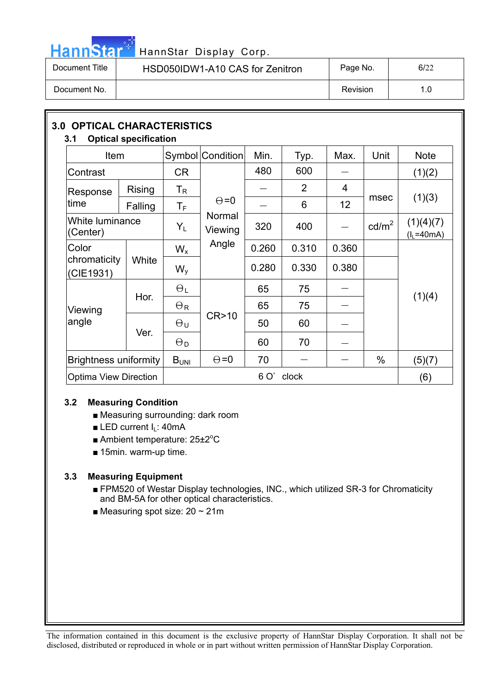# HannStar<sup>17</sup> HannStar Display Corp.

| Document Title | HSD050IDW1-A10 CAS for Zenitron | Page No. | 6/22 |
|----------------|---------------------------------|----------|------|
| Document No.   |                                 | Revision | 1.0  |

| <b>3.0 OPTICAL CHARACTERISTICS</b><br><b>Optical specification</b><br>3.1 |                                               |                           |                   |       |                |       |                 |                          |  |
|---------------------------------------------------------------------------|-----------------------------------------------|---------------------------|-------------------|-------|----------------|-------|-----------------|--------------------------|--|
| <b>Item</b>                                                               |                                               |                           | Symbol Condition  | Min.  | Typ.           | Max.  | Unit            | <b>Note</b>              |  |
| Contrast                                                                  |                                               | <b>CR</b>                 |                   | 480   | 600            |       |                 | (1)(2)                   |  |
| Response                                                                  | <b>Rising</b>                                 | $\mathsf{T}_{\mathsf{R}}$ |                   |       | $\overline{2}$ | 4     |                 |                          |  |
| time                                                                      | Falling                                       | $\mathsf T_{\mathsf F}$   | $\Theta = 0$      |       | 6              | 12    | msec            | (1)(3)                   |  |
| White luminance<br>(Center)                                               |                                               | $Y_L$                     | Normal<br>Viewing | 320   | 400            |       | $\text{cd/m}^2$ | (1)(4)(7)<br>$(lL=40mA)$ |  |
| Color                                                                     |                                               | $W_{x}$                   | Angle             | 0.260 | 0.310          | 0.360 |                 |                          |  |
| chromaticity<br>(CIE1931)                                                 | White                                         | $W_{V}$                   |                   | 0.280 | 0.330          | 0.380 |                 |                          |  |
|                                                                           | Hor.                                          | $\Theta_L$                |                   | 65    | 75             |       |                 | (1)(4)                   |  |
| Viewing                                                                   |                                               | $\Theta_{\mathsf{R}}$     |                   | 65    | 75             |       |                 |                          |  |
| angle                                                                     | Ver.                                          | θu                        | CR > 10           | 50    | 60             |       |                 |                          |  |
|                                                                           |                                               | $\Theta_{\mathsf{D}}$     |                   | 60    | 70             |       |                 |                          |  |
|                                                                           | <b>Brightness uniformity</b>                  |                           | $\Theta = 0$      | 70    |                |       | $\%$            | (5)(7)                   |  |
|                                                                           | 6 O'<br>clock<br><b>Optima View Direction</b> |                           |                   |       | (6)            |       |                 |                          |  |

### **3.2 Measuring Condition**

- Measuring surrounding: dark room
- $\blacksquare$  LED current I<sub>L</sub>: 40mA
- Ambient temperature: 25±2°C
- $\blacksquare$  15min. warm-up time.

### **3.3 Measuring Equipment**

- FPM520 of Westar Display technologies, INC., which utilized SR-3 for Chromaticity and BM-5A for other optical characteristics.
- $\blacksquare$  Measuring spot size: 20 ~ 21m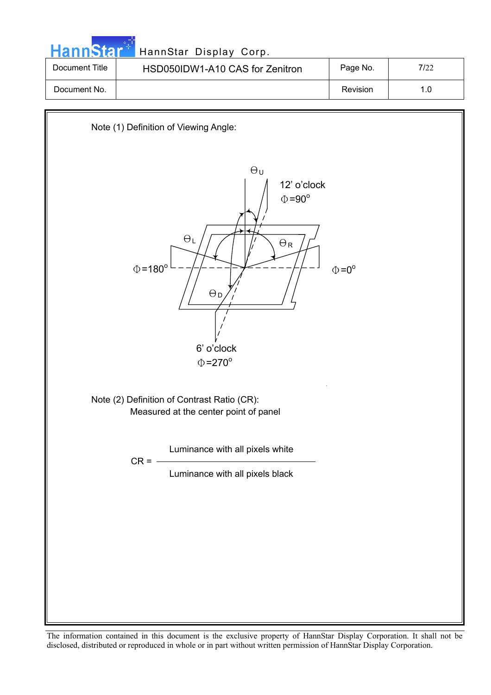| HannStar <sup>+</sup> | HannStar Display Corp.          |          |      |
|-----------------------|---------------------------------|----------|------|
| Document Title        | HSD050IDW1-A10 CAS for Zenitron | Page No. | 7/22 |
| Document No.          |                                 | Revision | 1.0  |

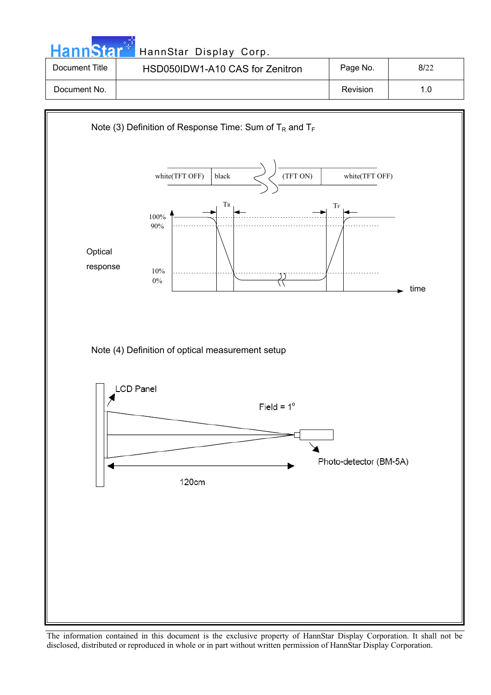| <b>HannStarl</b>                                             | HannStar Display Corp.          |          |      |  |  |  |
|--------------------------------------------------------------|---------------------------------|----------|------|--|--|--|
| Document Title                                               | HSD050IDW1-A10 CAS for Zenitron | Page No. | 8/22 |  |  |  |
| Document No.                                                 |                                 | Revision | 1.0  |  |  |  |
| Note (3) Definition of Response Time: Sum of $T_R$ and $T_F$ |                                 |          |      |  |  |  |

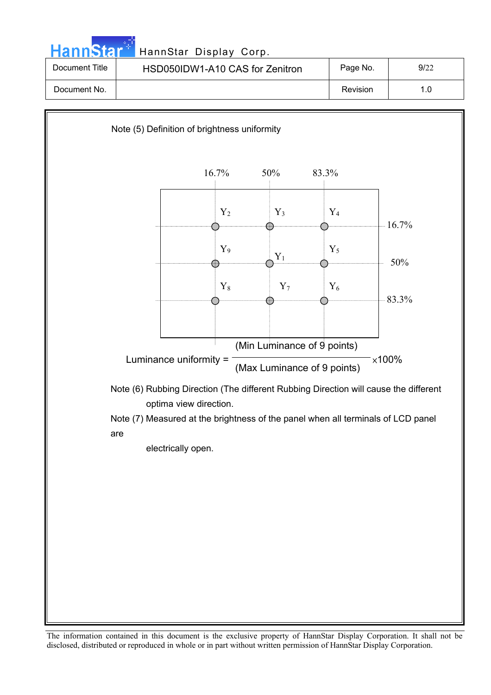| HannStar <sup>+</sup> | HannStar Display Corp.          |          |      |
|-----------------------|---------------------------------|----------|------|
| Document Title        | HSD050IDW1-A10 CAS for Zenitron | Page No. | 9/22 |
| Document No.          |                                 | Revision | 1.0  |

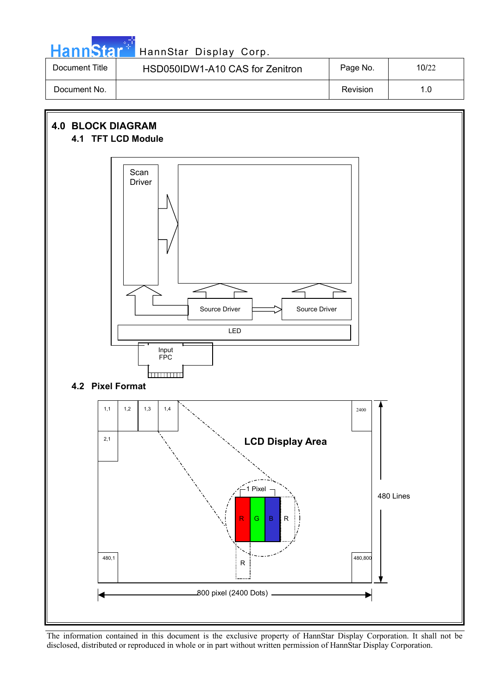|  |  | HannStar * |
|--|--|------------|
|  |  |            |
|  |  |            |

### HannStar Display Corp.

| Document Title | HSD050IDW1-A10 CAS for Zenitron | Page No. | 10/22 |
|----------------|---------------------------------|----------|-------|
| Document No.   |                                 | Revision |       |

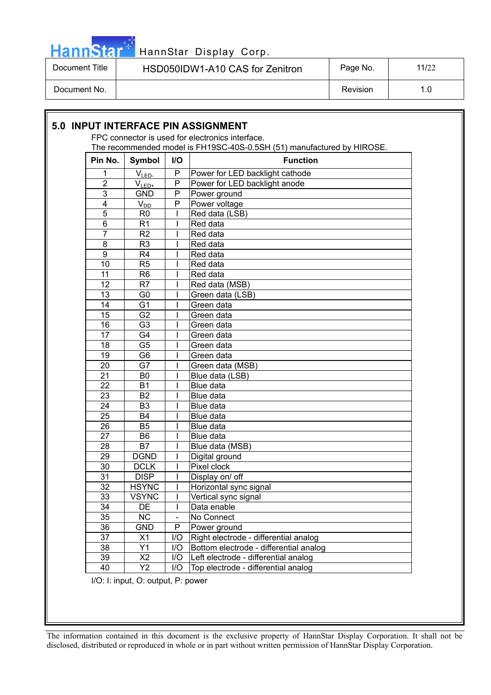

# HannStar<sup>\*'</sup> HannStar Display Corp.

| Document Title | HSD050IDW1-A10 CAS for Zenitron | Page No. | 11/22 |
|----------------|---------------------------------|----------|-------|
| Document No.   |                                 | Revision |       |

#### **5.0 INPUT INTERFACE PIN ASSIGNMENT**  FPC connector is used for electronics interface. The recommended model is FH19SC-40S-0.5SH (51) manufactured by HIROSE. **Pin No.** Symbol | I/O | Function  $1$   $V_{\text{LED}}$  P Power for LED backlight cathode 2 |  $V_{LED+}$  | P | Power for LED backlight anode 3 | GND | P Power ground  $\begin{array}{c|c|c|c|c} \hline \text{4} & \text{V}_{\text{DD}} & \text{P} & \text{Power voltage} \\ \hline \text{5} & \text{R0} & \text{I} & \text{Red data (LSB)} \\ \hline \end{array}$ R0 | | Red data (LSB)  $6$  | R1 | | | | Red data 7 | R2 | I Red data 8 | R3 | I Red data 9 | R4 | I Red data 10 | R5 | I Red data 11 | R6 | I  $\vert$ Red data 12 | R7 | I Red data (MSB) 13 G0 | I Green data (LSB) 14 G1 | Green data 15 G2 | I Green data 16 | G3 | I Green data 17 | G4 | I Green data 18 | G5 | I Green data 19 | G6 | I Green data 20 G7 I Green data (MSB) 21 | B0 | | | Blue data (LSB) 22 | B1 | | Blue data 23 B2 | Blue data 24 | B3 | | Blue data 25 | B4 | I Blue data 26 B5 | Blue data 27 | B6 | I Blue data 28 | B7 | I Blue data (MSB) 29 | DGND | | | Digital ground 30 DCLK I Pixel clock<br>31 DISP I Display on/ 1 Display on/ off 32 | HSYNC | I | Horizontal sync signal 33 VSYNC | I Vertical sync signal 34 | DE | | | Data enable 35 NC - No Connect 36 GND P Power ground 37 X1 I/O Right electrode - differential analog 38 Y1 I/O Bottom electrode - differential analog 39 X2 I/O Left electrode - differential analog 40 Y2 I/O Top electrode - differential analog

I/O: I: input, O: output, P: power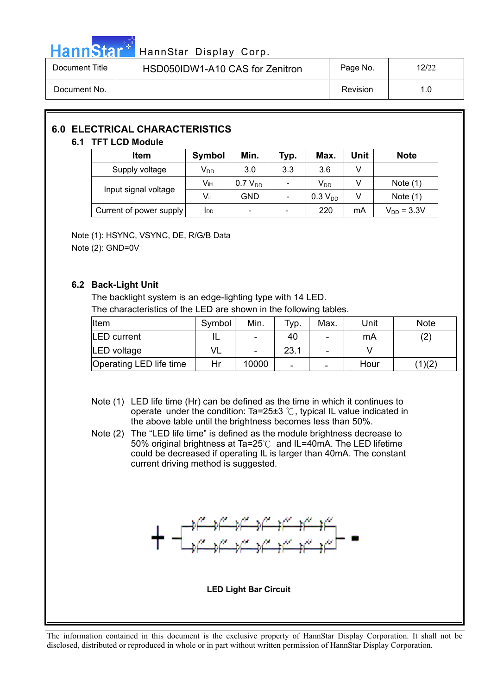

### HannStar Display Corp.

| Document Title | HSD050IDW1-A10 CAS for Zenitron | Page No. | 12/22 |
|----------------|---------------------------------|----------|-------|
| Document No.   |                                 | Revision | 1.0   |

### **6.0 ELECTRICAL CHARACTERISTICS**

### **6.1 TFT LCD Module**

| Item                    | Symbol                     | Min.                     | Typ.                     | Max.                | Unit | <b>Note</b>     |
|-------------------------|----------------------------|--------------------------|--------------------------|---------------------|------|-----------------|
| Supply voltage          | $\mathsf{V}_{\mathsf{DD}}$ | 3.0                      | 3.3                      | 3.6                 |      |                 |
| Input signal voltage    | Vıн                        | 0.7 V <sub>DD</sub>      |                          | V <sub>DD</sub>     |      | Note $(1)$      |
|                         | Vil                        | GND                      |                          | 0.3 V <sub>DD</sub> |      | Note $(1)$      |
| Current of power supply | I <sub>DD</sub>            | $\overline{\phantom{0}}$ | $\overline{\phantom{a}}$ | 220                 | mA   | $V_{DD} = 3.3V$ |

Note (1): HSYNC, VSYNC, DE, R/G/B Data Note (2): GND=0V

### **6.2 Back-Light Unit**

The backlight system is an edge-lighting type with 14 LED. The characteristics of the LED are shown in the following tables.

| Item                    | Symbol | Min.                     | тур. | Max.                     | Unit | <b>Note</b> |
|-------------------------|--------|--------------------------|------|--------------------------|------|-------------|
| <b>LED</b> current      | ℡      | ۰                        | 40   | -                        | mA   | (2)         |
| LED voltage             | VL     | $\overline{\phantom{0}}$ | 23.1 | $\overline{\phantom{a}}$ |      |             |
| Operating LED life time | Hr     | 10000                    | -    | -                        | Hour | (1)(2)      |

- Note (1) LED life time (Hr) can be defined as the time in which it continues to operate under the condition: Ta=25 $\pm$ 3 °C, typical IL value indicated in the above table until the brightness becomes less than 50%.
- Note (2) The "LED life time" is defined as the module brightness decrease to 50% original brightness at Ta=25 $\degree$ C and IL=40mA. The LED lifetime could be decreased if operating IL is larger than 40mA. The constant current driving method is suggested.



**LED Light Bar Circuit**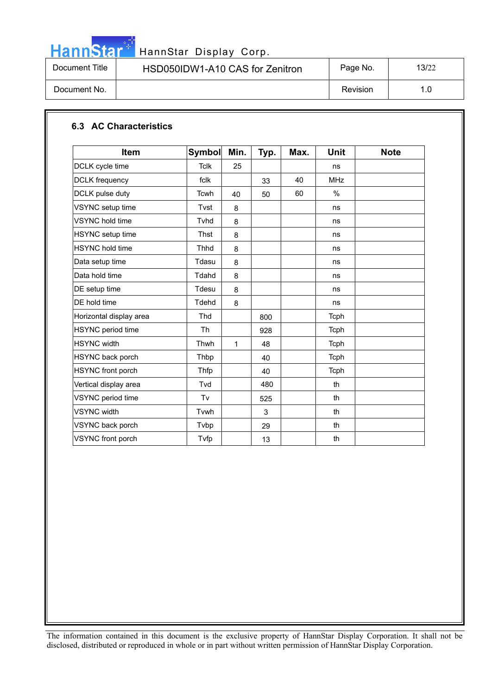

# HannStar<sup>t HannStar Display Corp.</sup>

| Document Title | HSD050IDW1-A10 CAS for Zenitron | Page No. | 13/22 |
|----------------|---------------------------------|----------|-------|
| Document No.   |                                 | Revision | 1.0   |

### **6.3 AC Characteristics**

| Item                     | <b>Symbol</b> | Min. | Typ. | Max. | <b>Unit</b> | <b>Note</b> |
|--------------------------|---------------|------|------|------|-------------|-------------|
| DCLK cycle time          | <b>Tclk</b>   | 25   |      |      | ns          |             |
| <b>DCLK</b> frequency    | fclk          |      | 33   | 40   | <b>MHz</b>  |             |
| DCLK pulse duty          | <b>Tcwh</b>   | 40   | 50   | 60   | $\%$        |             |
| VSYNC setup time         | Tvst          | 8    |      |      | ns          |             |
| <b>VSYNC</b> hold time   | Tyhd          | 8    |      |      | ns          |             |
| HSYNC setup time         | Thst          | 8    |      |      | ns          |             |
| <b>HSYNC</b> hold time   | Thhd          | 8    |      |      | ns          |             |
| Data setup time          | Tdasu         | 8    |      |      | ns          |             |
| Data hold time           | Tdahd         | 8    |      |      | ns          |             |
| DE setup time            | Tdesu         | 8    |      |      | ns          |             |
| DE hold time             | Tdehd         | 8    |      |      | ns          |             |
| Horizontal display area  | Thd           |      | 800  |      | Tcph        |             |
| HSYNC period time        | Th            |      | 928  |      | Tcph        |             |
| <b>HSYNC</b> width       | Thwh          | 1    | 48   |      | Tcph        |             |
| HSYNC back porch         | Thbp          |      | 40   |      | Tcph        |             |
| <b>HSYNC</b> front porch | Thfp          |      | 40   |      | Tcph        |             |
| Vertical display area    | Tvd           |      | 480  |      | th          |             |
| VSYNC period time        | Tv            |      | 525  |      | th          |             |
| <b>VSYNC</b> width       | Tvwh          |      | 3    |      | th          |             |
| VSYNC back porch         | Tvbp          |      | 29   |      | th          |             |
| VSYNC front porch        | Tvfp          |      | 13   |      | th          |             |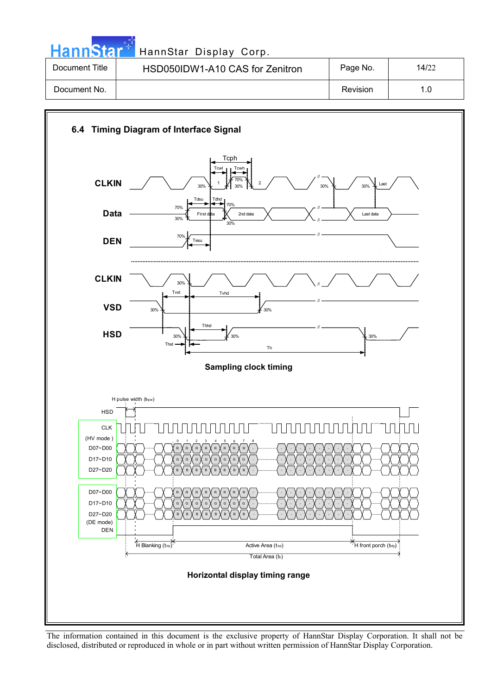HannStar<sup>57</sup> HannStar Display Corp.

| Document Title | HSD050IDW1-A10 CAS for Zenitron | Page No. | 14/22 |
|----------------|---------------------------------|----------|-------|
| Document No.   |                                 | Revision | 1.0   |

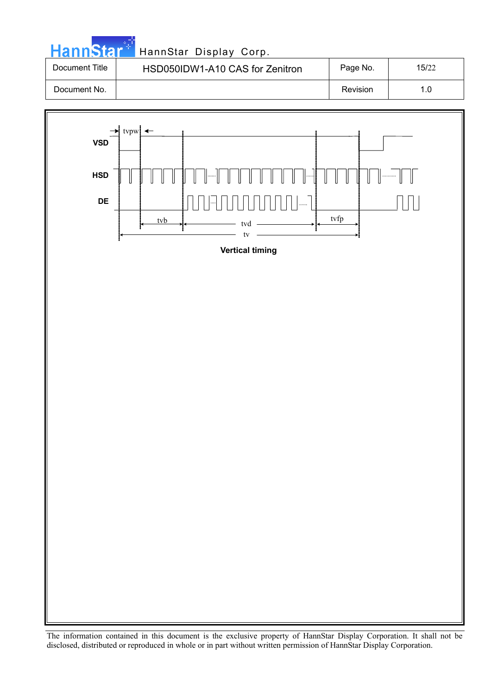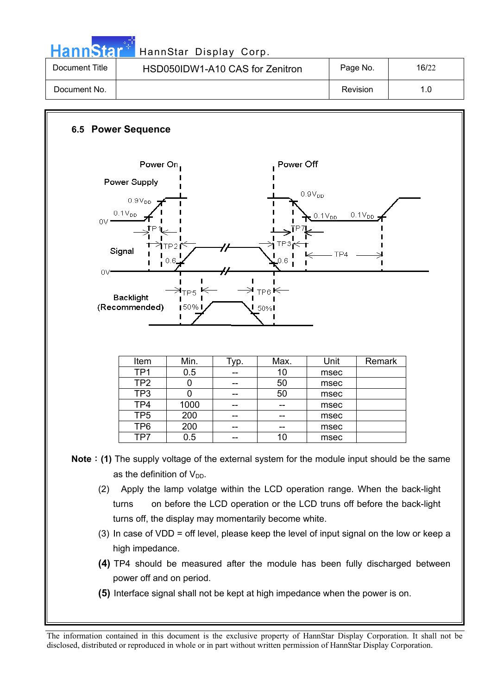Hann Star<sup> T</sup> Hann Star Display Corp.

| Document Title | HSD050IDW1-A10 CAS for Zenitron | Page No. | 16/22 |
|----------------|---------------------------------|----------|-------|
| Document No.   |                                 | Revision |       |

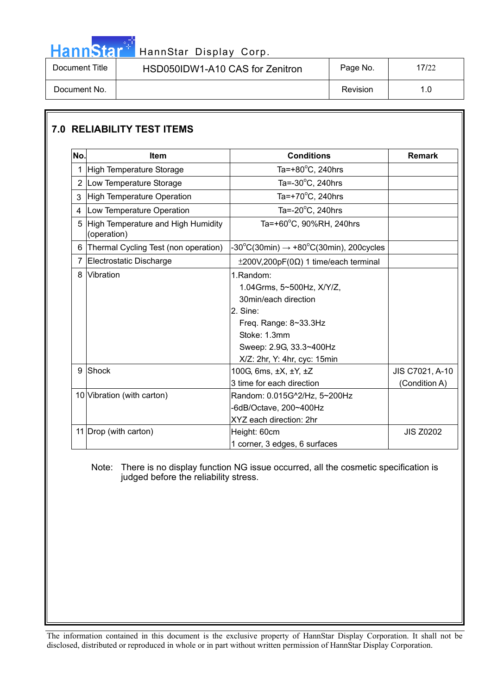Hann Star<sup>47</sup> HannStar Display Corp.

| Document Title | HSD050IDW1-A10 CAS for Zenitron | Page No. | 7/22 |
|----------------|---------------------------------|----------|------|
| Document No.   |                                 | Revision | . .0 |

#### **7.0 RELIABILITY TEST ITEMS No. Item Conditions Remark** 1 High Temperature Storage Ta= $+80^{\circ}$ C, 240hrs 2 Low Temperature Storage Ta= $-30^{\circ}$ C, 240hrs 3 High Temperature Operation Ta= $+70^{\circ}$ C, 240hrs 4 | Low Temperature Operation Ta= $-20^{\circ}$ C, 240hrs 5 High Temperature and High Humidity (operation) Ta=+60°C, 90%RH, 240hrs 6 Thermal Cycling Test (non operation)  $C(30min) \rightarrow +80^{\circ}C(30min)$ , 200cycles 7 | Electrostatic Discharge  $\vert$   $\pm$  200V,200pF(0 $\Omega$ ) 1 time/each terminal 8 Vibration 1.Random: 1.04Grms, 5~500Hz, X/Y/Z, 30min/each direction 2. Sine: Freq. Range: 8~33.3Hz Stoke: 1.3mm Sweep: 2.9G, 33.3~400Hz X/Z: 2hr, Y: 4hr, cyc: 15min 9 Shock 100G, 6ms, ±X, ±Y, ±Z 3 time for each direction JIS C7021, A-10 (Condition A) 10 Vibration (with carton) Random: 0.015G^2/Hz, 5~200Hz -6dB/Octave, 200~400Hz XYZ each direction: 2hr 11 Drop (with carton) Height: 60cm 1 corner, 3 edges, 6 surfaces JIS Z0202

### Note: There is no display function NG issue occurred, all the cosmetic specification is judged before the reliability stress.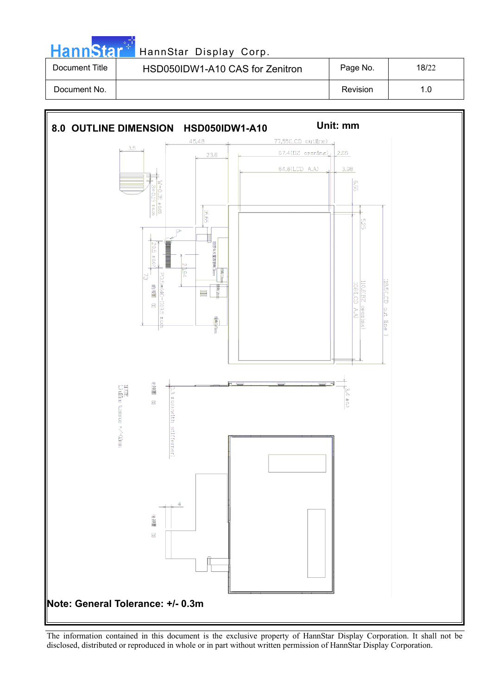|  | HannStar <sup>*</sup> |  |
|--|-----------------------|--|

### HannStar Display Corp.

| Document Title | HSD050IDW1-A10 CAS for Zenitron | Page No. | 18/22 |
|----------------|---------------------------------|----------|-------|
| Document No.   |                                 | Revision | 1.0   |

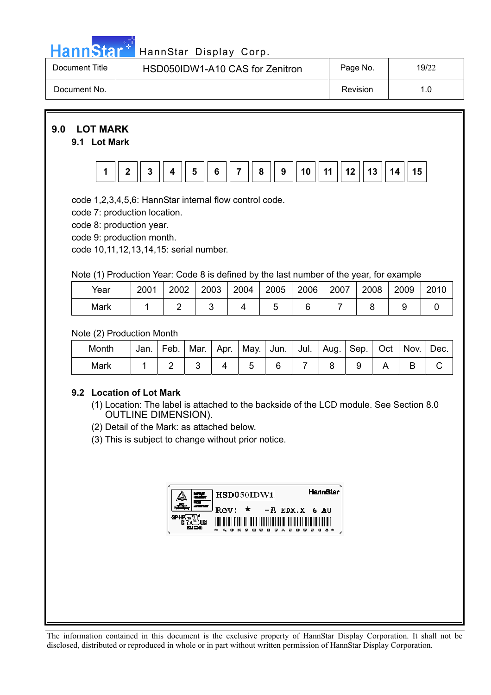

# Hann Star<sup>t HannStar</sup> Display Corp.

| Document Title | HSD050IDW1-A10 CAS for Zenitron | Page No. | 19/22 |
|----------------|---------------------------------|----------|-------|
| Document No.   |                                 | Revision |       |

### **9.0 LOT MARK**

### **9.1 Lot Mark**



code 1,2,3,4,5,6: HannStar internal flow control code.

code 7: production location.

code 8: production year.

code 9: production month.

code 10,11,12,13,14,15: serial number.

### Note (1) Production Year: Code 8 is defined by the last number of the year, for example

| Year | 2001 | 2002 | 2003 | 2004 | 2005 | 2006 | 2007 | 2008 | 2009 | 2010 |
|------|------|------|------|------|------|------|------|------|------|------|
| Mark |      |      |      |      |      |      |      |      |      |      |

Note (2) Production Month

| Month | Jan. | Feb. | Mar. | Apr. | May. Jun. |  | ,Jul.   Aug. I <sup>∽</sup> | . Sep. I | Oct | Nov. | Dec. |
|-------|------|------|------|------|-----------|--|-----------------------------|----------|-----|------|------|
| Mark  |      |      |      |      |           |  |                             |          |     |      |      |

### **9.2 Location of Lot Mark**

- (1) Location: The label is attached to the backside of the LCD module. See Section 8.0 OUTLINE DIMENSION).
- (2) Detail of the Mark: as attached below.
- (3) This is subject to change without prior notice.

| HSD050IDW1                                                                                                                                  | <b>HannSter</b> |
|---------------------------------------------------------------------------------------------------------------------------------------------|-----------------|
| $Rev: *$<br>$-A$ EDX.X 6 A0                                                                                                                 |                 |
| <u> 1111 - 1128 - 1239 - 1249 - 1259 - 1259 - 1250 - 1251 - 1252 - 1253 - 1254 - 1255 - 1265 - 1276 - 1277 - 127</u><br><b>OKPOOODAOOOO</b> |                 |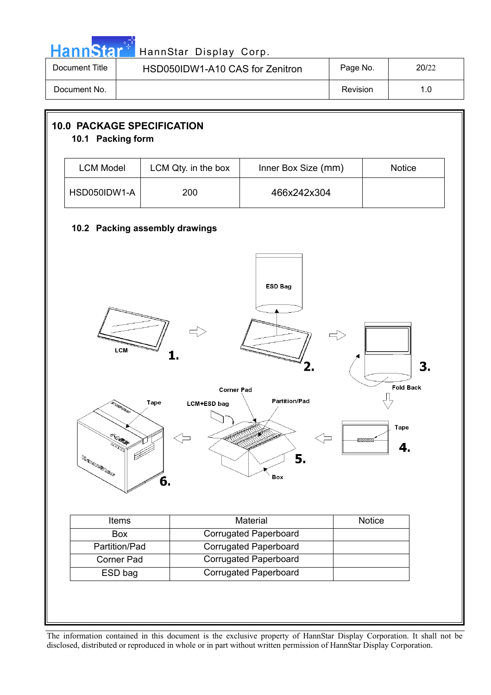|  |  | <b>HannStar</b> * |  |
|--|--|-------------------|--|
|  |  |                   |  |
|  |  |                   |  |

### HannStar Display Corp.

| Document Title | HSD050IDW1-A10 CAS for Zenitron | Page No. | 20/22 |
|----------------|---------------------------------|----------|-------|
| Document No.   |                                 | Revision |       |

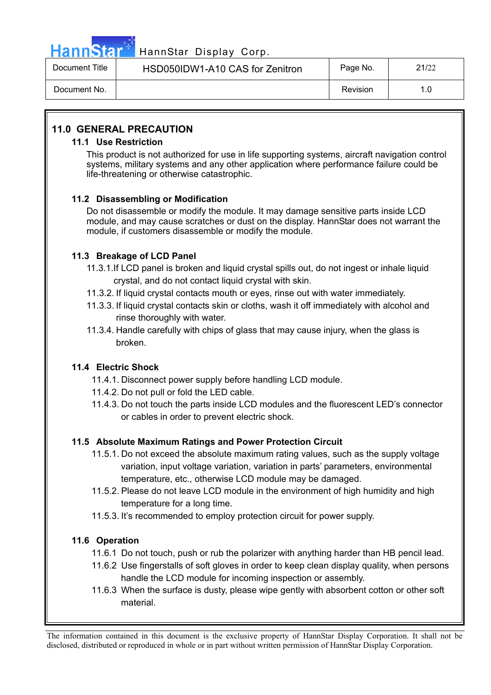

## HannStar<sup>1</sup> HannStar Display Corp.

| Document Title | HSD050IDW1-A10 CAS for Zenitron | Page No. | 21/22 |
|----------------|---------------------------------|----------|-------|
| Document No.   |                                 | Revision |       |

### **11.0 GENERAL PRECAUTION**

### **11.1 Use Restriction**

This product is not authorized for use in life supporting systems, aircraft navigation control systems, military systems and any other application where performance failure could be life-threatening or otherwise catastrophic.

### **11.2 Disassembling or Modification**

Do not disassemble or modify the module. It may damage sensitive parts inside LCD module, and may cause scratches or dust on the display. HannStar does not warrant the module, if customers disassemble or modify the module.

### **11.3 Breakage of LCD Panel**

- 11.3.1.If LCD panel is broken and liquid crystal spills out, do not ingest or inhale liquid crystal, and do not contact liquid crystal with skin.
- 11.3.2. If liquid crystal contacts mouth or eyes, rinse out with water immediately.
- 11.3.3. If liquid crystal contacts skin or cloths, wash it off immediately with alcohol and rinse thoroughly with water.
- 11.3.4. Handle carefully with chips of glass that may cause injury, when the glass is broken.

### **11.4 Electric Shock**

- 11.4.1. Disconnect power supply before handling LCD module.
- 11.4.2. Do not pull or fold the LED cable.
- 11.4.3. Do not touch the parts inside LCD modules and the fluorescent LED's connector or cables in order to prevent electric shock.

### **11.5 Absolute Maximum Ratings and Power Protection Circuit**

- 11.5.1. Do not exceed the absolute maximum rating values, such as the supply voltage variation, input voltage variation, variation in parts' parameters, environmental temperature, etc., otherwise LCD module may be damaged.
- 11.5.2. Please do not leave LCD module in the environment of high humidity and high temperature for a long time.
- 11.5.3. It's recommended to employ protection circuit for power supply.

### **11.6 Operation**

- 11.6.1 Do not touch, push or rub the polarizer with anything harder than HB pencil lead.
- 11.6.2 Use fingerstalls of soft gloves in order to keep clean display quality, when persons handle the LCD module for incoming inspection or assembly.
- 11.6.3 When the surface is dusty, please wipe gently with absorbent cotton or other soft material.